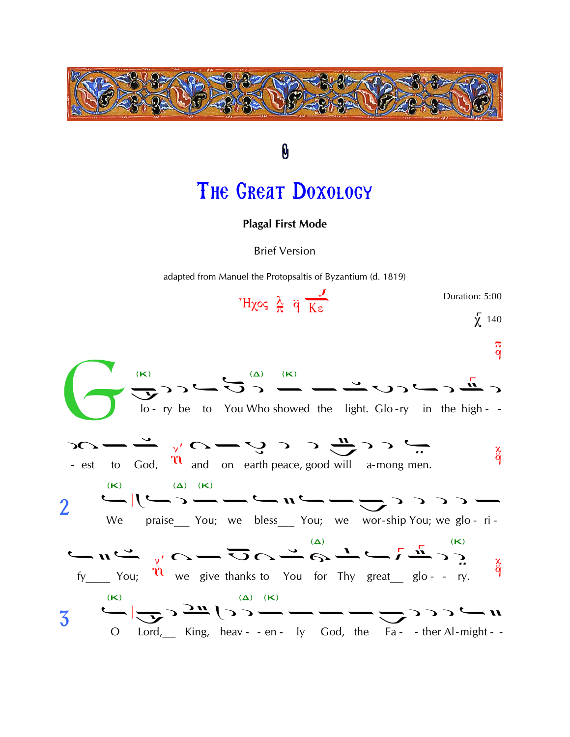

## THE GREAT DOXOLOGY

0

## **Plagal First Mode**

**Brief Version** 

adapted from Manuel the Protopsaltis of Byzantium (d. 1819)

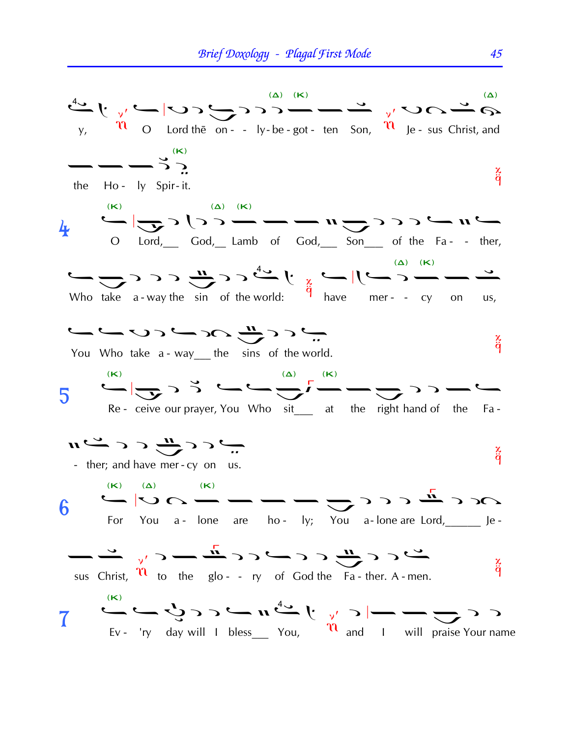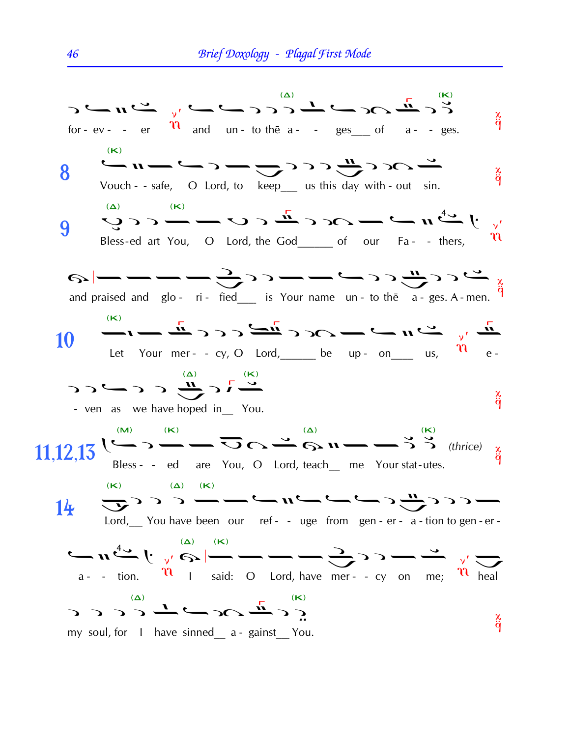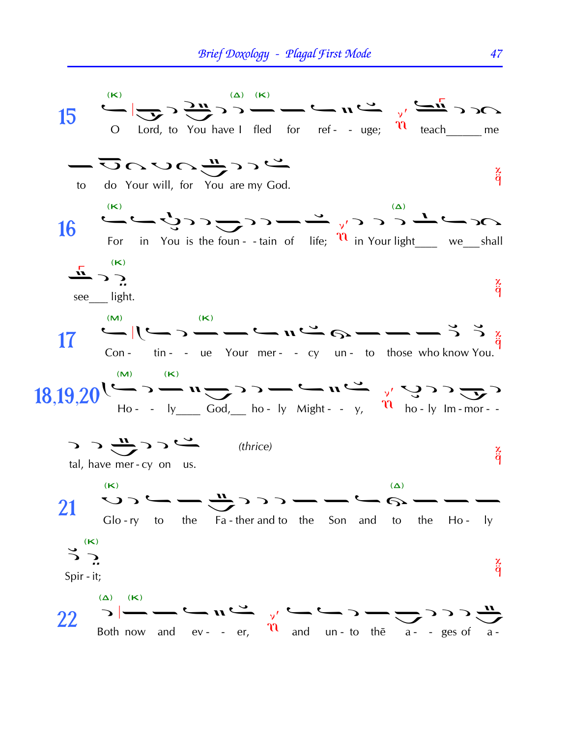

47